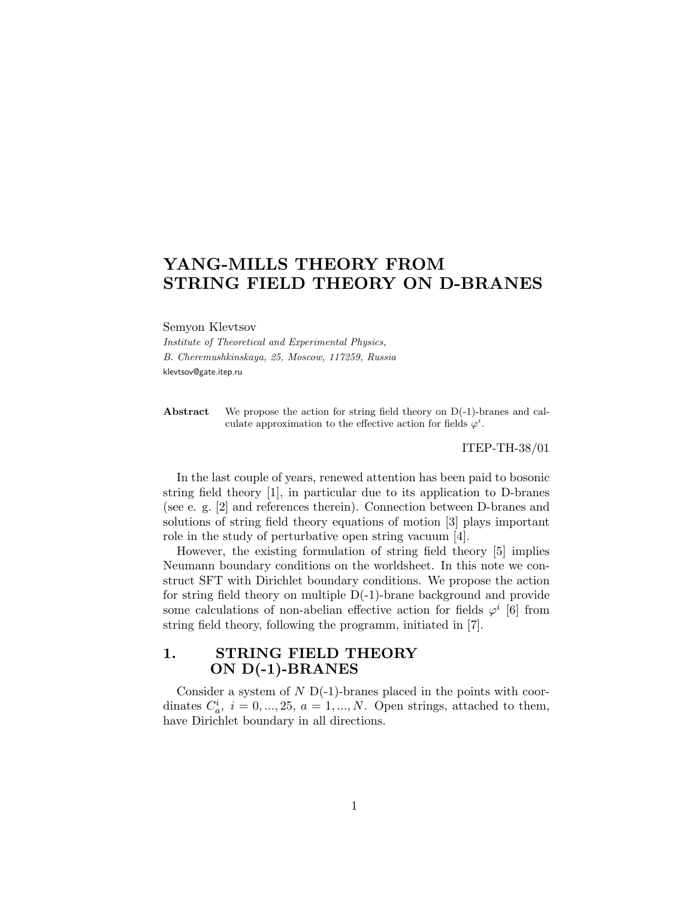# YANG-MILLS THEORY FROM STRING FIELD THEORY ON D-BRANES

Semyon Klevtsov

Institute of Theoretical and Experimental Physics, B. Cheremushkinskaya, 25, Moscow, 117259, Russia klevtsov@gate.itep.ru

Abstract We propose the action for string field theory on D(-1)-branes and calculate approximation to the effective action for fields  $\varphi^i$ .

ITEP-TH-38/01

In the last couple of years, renewed attention has been paid to bosonic string field theory [1], in particular due to its application to D-branes (see e. g. [2] and references therein). Connection between D-branes and solutions of string field theory equations of motion [3] plays important role in the study of perturbative open string vacuum [4].

However, the existing formulation of string field theory [5] implies Neumann boundary conditions on the worldsheet. In this note we construct SFT with Dirichlet boundary conditions. We propose the action for string field theory on multiple D(-1)-brane background and provide some calculations of non-abelian effective action for fields  $\varphi^i$  [6] from string field theory, following the programm, initiated in [7].

## 1. STRING FIELD THEORY ON D(-1)-BRANES

Consider a system of  $N D(-1)$ -branes placed in the points with coordinates  $C_a^i$ ,  $i = 0, ..., 25, a = 1, ..., N$ . Open strings, attached to them, have Dirichlet boundary in all directions.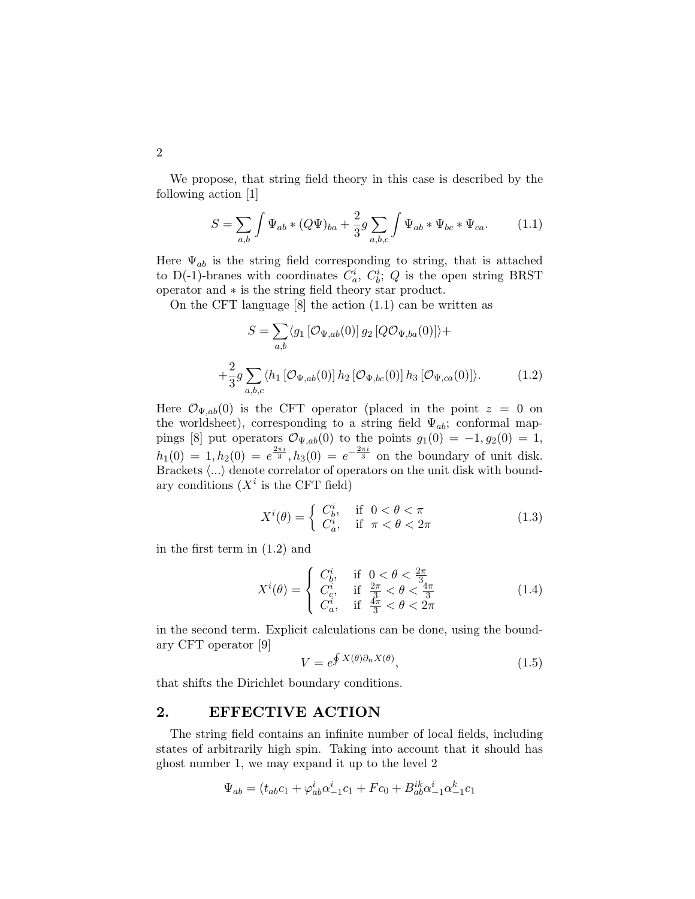We propose, that string field theory in this case is described by the following action [1]

$$
S = \sum_{a,b} \int \Psi_{ab} * (Q\Psi)_{ba} + \frac{2}{3} g \sum_{a,b,c} \int \Psi_{ab} * \Psi_{bc} * \Psi_{ca}. \tag{1.1}
$$

Here  $\Psi_{ab}$  is the string field corresponding to string, that is attached to D(-1)-branes with coordinates  $C_a^i$ ,  $C_b^i$ ; Q is the open string BRST operator and ∗ is the string field theory star product.

On the CFT language [8] the action (1.1) can be written as

$$
S = \sum_{a,b} \langle g_1 \left[ \mathcal{O}_{\Psi,ab}(0) \right] g_2 \left[ Q \mathcal{O}_{\Psi,ba}(0) \right] \rangle +
$$
  
+ 
$$
\frac{2}{3} g \sum_{a,b,c} \langle h_1 \left[ \mathcal{O}_{\Psi,ab}(0) \right] h_2 \left[ \mathcal{O}_{\Psi,bc}(0) \right] h_3 \left[ \mathcal{O}_{\Psi,ca}(0) \right] \rangle. \tag{1.2}
$$

Here  $\mathcal{O}_{\Psi,ab}(0)$  is the CFT operator (placed in the point  $z=0$  on the worldsheet), corresponding to a string field  $\Psi_{ab}$ ; conformal mappings [8] put operators  $\mathcal{O}_{\Psi,ab}(0)$  to the points  $g_1(0) = -1, g_2(0) = 1$ ,  $h_1(0) = 1, h_2(0) = e^{\frac{2\pi i}{3}}, h_3(0) = e^{-\frac{2\pi i}{3}}$  on the boundary of unit disk. Brackets  $\langle ... \rangle$  denote correlator of operators on the unit disk with boundary conditions  $(X<sup>i</sup>$  is the CFT field)

$$
X^{i}(\theta) = \begin{cases} C_{b}^{i}, & \text{if } 0 < \theta < \pi \\ C_{a}^{i}, & \text{if } \pi < \theta < 2\pi \end{cases}
$$
 (1.3)

in the first term in (1.2) and

$$
X^{i}(\theta) = \begin{cases} C_b^{i}, & \text{if } 0 < \theta < \frac{2\pi}{3} \\ C_c^{i}, & \text{if } \frac{2\pi}{3} < \theta < \frac{4\pi}{3} \\ C_a^{i}, & \text{if } \frac{4\pi}{3} < \theta < 2\pi \end{cases}
$$
(1.4)

in the second term. Explicit calculations can be done, using the boundary CFT operator [9]

$$
V = e^{\oint X(\theta)\partial_n X(\theta)},\tag{1.5}
$$

that shifts the Dirichlet boundary conditions.

### 2. EFFECTIVE ACTION

The string field contains an infinite number of local fields, including states of arbitrarily high spin. Taking into account that it should has ghost number 1, we may expand it up to the level 2

$$
\Psi_{ab} = (t_{ab}c_1 + \varphi_{ab}^i\alpha_{-1}^ic_1 + Fc_0 + B_{ab}^{ik}\alpha_{-1}^i\alpha_{-1}^kc_1
$$

2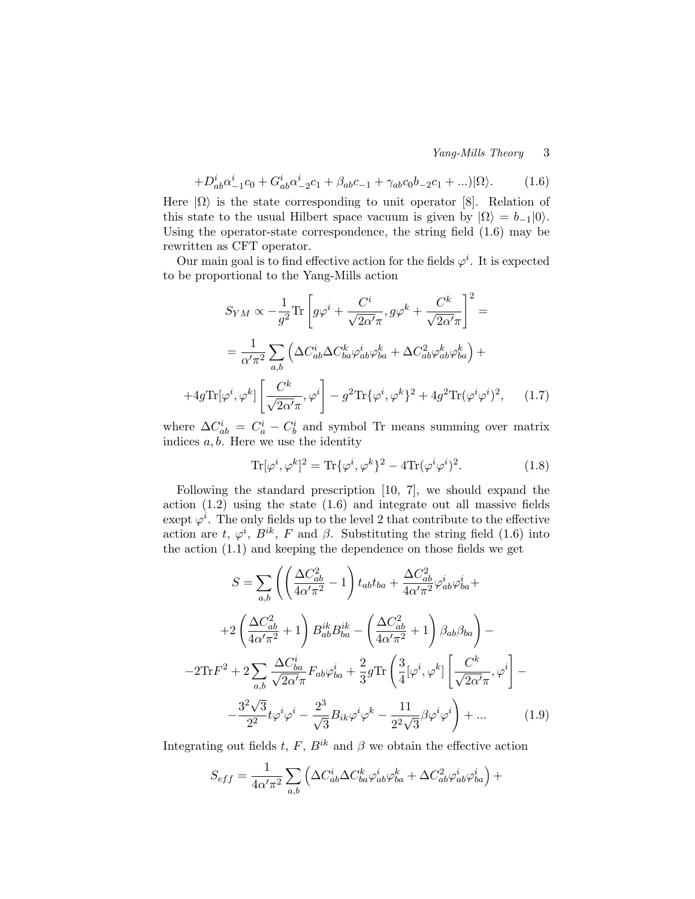Yang-Mills Theory 3

$$
+D_{ab}^{i}\alpha_{-1}^{i}c_{0} + G_{ab}^{i}\alpha_{-2}^{i}c_{1} + \beta_{ab}c_{-1} + \gamma_{ab}c_{0}b_{-2}c_{1} + \ldots)|\Omega\rangle. \tag{1.6}
$$

Here  $|\Omega\rangle$  is the state corresponding to unit operator [8]. Relation of this state to the usual Hilbert space vacuum is given by  $|\Omega\rangle = b_{-1}|0\rangle$ . Using the operator-state correspondence, the string field (1.6) may be rewritten as CFT operator.

Our main goal is to find effective action for the fields  $\varphi^i$ . It is expected to be proportional to the Yang-Mills action

$$
S_{YM} \propto -\frac{1}{g^2} \text{Tr} \left[ g\varphi^i + \frac{C^i}{\sqrt{2\alpha'}\pi}, g\varphi^k + \frac{C^k}{\sqrt{2\alpha'}\pi} \right]^2 =
$$
  

$$
= \frac{1}{\alpha'\pi^2} \sum_{a,b} \left( \Delta C_{ab}^i \Delta C_{ba}^k \varphi_{ab}^i \varphi_{ba}^k + \Delta C_{ab}^2 \varphi_{ab}^k \varphi_{ba}^k \right) +
$$
  
+4g \text{Tr}[\varphi^i, \varphi^k] \left[ \frac{C^k}{\sqrt{2\alpha'}\pi}, \varphi^i \right] - g^2 \text{Tr} {\{\varphi^i, \varphi^k\}}^2 + 4g^2 \text{Tr}(\varphi^i \varphi^i)^2, \quad (1.7)

where  $\Delta C_{ab}^i = C_a^i - C_b^i$  and symbol Tr means summing over matrix indices  $a, b$ . Here we use the identity

$$
\text{Tr}[\varphi^i, \varphi^k]^2 = \text{Tr}\{\varphi^i, \varphi^k\}^2 - 4\text{Tr}(\varphi^i \varphi^i)^2. \tag{1.8}
$$

Following the standard prescription [10, 7], we should expand the action (1.2) using the state (1.6) and integrate out all massive fields exept  $\varphi^i$ . The only fields up to the level 2 that contribute to the effective action are t,  $\varphi^i$ ,  $B^{ik}$ , F and  $\beta$ . Substituting the string field (1.6) into the action (1.1) and keeping the dependence on those fields we get

$$
S = \sum_{a,b} \left( \left( \frac{\Delta C_{ab}^2}{4\alpha'\pi^2} - 1 \right) t_{ab} t_{ba} + \frac{\Delta C_{ab}^2}{4\alpha'\pi^2} \varphi_{ab}^i \varphi_{ba}^i +
$$
  
+2\left( \frac{\Delta C\_{ab}^2}{4\alpha'\pi^2} + 1 \right) B\_{ab}^{ik} B\_{ba}^{ik} - \left( \frac{\Delta C\_{ab}^2}{4\alpha'\pi^2} + 1 \right) \beta\_{ab} \beta\_{ba} \right) -  
-2\mathrm{Tr} F^2 + 2 \sum\_{a,b} \frac{\Delta C\_{ba}^i}{\sqrt{2\alpha'\pi}} F\_{ab} \varphi\_{ba}^i + \frac{2}{3} g \mathrm{Tr} \left( \frac{3}{4} [\varphi^i, \varphi^k] \left[ \frac{C^k}{\sqrt{2\alpha'\pi}}, \varphi^i \right] -  
-\frac{3^2 \sqrt{3}}{2^2} t \varphi^i \varphi^i - \frac{2^3}{\sqrt{3}} B\_{ik} \varphi^i \varphi^k - \frac{11}{2^2 \sqrt{3}} \beta \varphi^i \varphi^i \right) + \dots \qquad (1.9)

Integrating out fields t, F,  $B^{ik}$  and  $\beta$  we obtain the effective action

$$
S_{eff} = \frac{1}{4\alpha'\pi^2} \sum_{a,b} \left( \Delta C_{ab}^i \Delta C_{ba}^k \varphi_{ab}^i \varphi_{ba}^k + \Delta C_{ab}^2 \varphi_{ab}^i \varphi_{ba}^i \right) +
$$